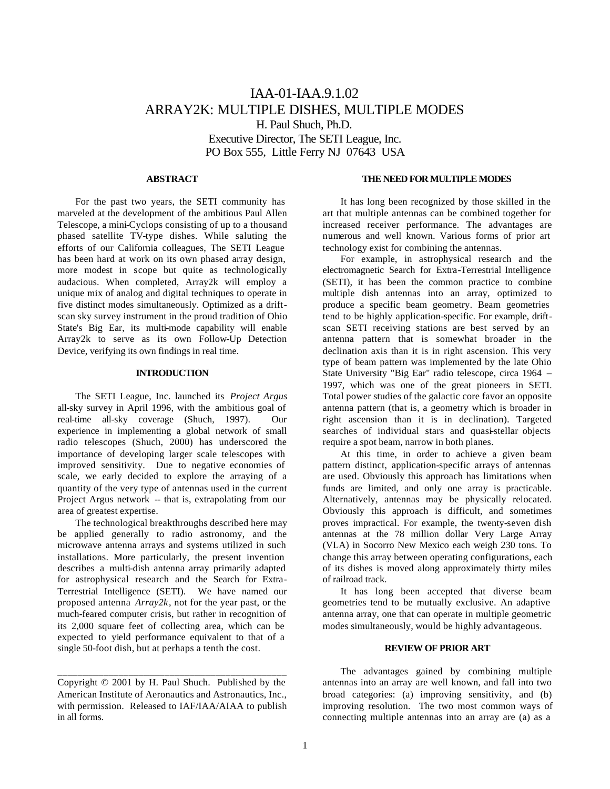# IAA-01-IAA.9.1.02 ARRAY2K: MULTIPLE DISHES, MULTIPLE MODES H. Paul Shuch, Ph.D. Executive Director, The SETI League, Inc. PO Box 555, Little Ferry NJ 07643 USA

#### **ABSTRACT**

For the past two years, the SETI community has marveled at the development of the ambitious Paul Allen Telescope, a mini-Cyclops consisting of up to a thousand phased satellite TV-type dishes. While saluting the efforts of our California colleagues, The SETI League has been hard at work on its own phased array design, more modest in scope but quite as technologically audacious. When completed, Array2k will employ a unique mix of analog and digital techniques to operate in five distinct modes simultaneously. Optimized as a driftscan sky survey instrument in the proud tradition of Ohio State's Big Ear, its multi-mode capability will enable Array2k to serve as its own Follow-Up Detection Device, verifying its own findings in real time.

## **INTRODUCTION**

The SETI League, Inc. launched its *Project Argus* all-sky survey in April 1996, with the ambitious goal of real-time all-sky coverage (Shuch, 1997). Our experience in implementing a global network of small radio telescopes (Shuch, 2000) has underscored the importance of developing larger scale telescopes with improved sensitivity. Due to negative economies of scale, we early decided to explore the arraying of a quantity of the very type of antennas used in the current Project Argus network -- that is, extrapolating from our area of greatest expertise.

The technological breakthroughs described here may be applied generally to radio astronomy, and the microwave antenna arrays and systems utilized in such installations. More particularly, the present invention describes a multi-dish antenna array primarily adapted for astrophysical research and the Search for Extra-Terrestrial Intelligence (SETI). We have named our proposed antenna *Array2k*, not for the year past, or the much-feared computer crisis, but rather in recognition of its 2,000 square feet of collecting area, which can be expected to yield performance equivalent to that of a single 50-foot dish, but at perhaps a tenth the cost.

\_\_\_\_\_\_\_\_\_\_\_\_\_\_\_\_\_\_\_\_\_\_\_\_\_\_\_\_\_\_\_\_\_\_\_\_\_\_\_\_\_\_\_\_\_

#### **THE NEED FOR MULTIPLE MODES**

It has long been recognized by those skilled in the art that multiple antennas can be combined together for increased receiver performance. The advantages are numerous and well known. Various forms of prior art technology exist for combining the antennas.

For example, in astrophysical research and the electromagnetic Search for Extra-Terrestrial Intelligence (SETI), it has been the common practice to combine multiple dish antennas into an array, optimized to produce a specific beam geometry. Beam geometries tend to be highly application-specific. For example, driftscan SETI receiving stations are best served by an antenna pattern that is somewhat broader in the declination axis than it is in right ascension. This very type of beam pattern was implemented by the late Ohio State University "Big Ear" radio telescope, circa 1964 – 1997, which was one of the great pioneers in SETI. Total power studies of the galactic core favor an opposite antenna pattern (that is, a geometry which is broader in right ascension than it is in declination). Targeted searches of individual stars and quasi-stellar objects require a spot beam, narrow in both planes.

At this time, in order to achieve a given beam pattern distinct, application-specific arrays of antennas are used. Obviously this approach has limitations when funds are limited, and only one array is practicable. Alternatively, antennas may be physically relocated. Obviously this approach is difficult, and sometimes proves impractical. For example, the twenty-seven dish antennas at the 78 million dollar Very Large Array (VLA) in Socorro New Mexico each weigh 230 tons. To change this array between operating configurations, each of its dishes is moved along approximately thirty miles of railroad track.

It has long been accepted that diverse beam geometries tend to be mutually exclusive. An adaptive antenna array, one that can operate in multiple geometric modes simultaneously, would be highly advantageous.

#### **REVIEW OF PRIOR ART**

The advantages gained by combining multiple antennas into an array are well known, and fall into two broad categories: (a) improving sensitivity, and (b) improving resolution. The two most common ways of connecting multiple antennas into an array are (a) as a

Copyright © 2001 by H. Paul Shuch. Published by the American Institute of Aeronautics and Astronautics, Inc., with permission. Released to IAF/IAA/AIAA to publish in all forms.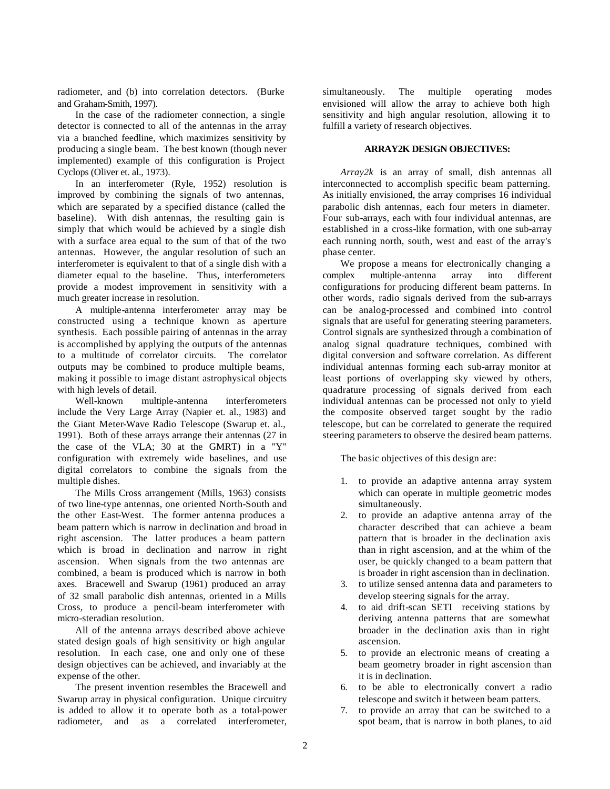radiometer, and (b) into correlation detectors. (Burke and Graham-Smith, 1997).

In the case of the radiometer connection, a single detector is connected to all of the antennas in the array via a branched feedline, which maximizes sensitivity by producing a single beam. The best known (though never implemented) example of this configuration is Project Cyclops (Oliver et. al., 1973).

In an interferometer (Ryle, 1952) resolution is improved by combining the signals of two antennas, which are separated by a specified distance (called the baseline). With dish antennas, the resulting gain is simply that which would be achieved by a single dish with a surface area equal to the sum of that of the two antennas. However, the angular resolution of such an interferometer is equivalent to that of a single dish with a diameter equal to the baseline. Thus, interferometers provide a modest improvement in sensitivity with a much greater increase in resolution.

A multiple-antenna interferometer array may be constructed using a technique known as aperture synthesis. Each possible pairing of antennas in the array is accomplished by applying the outputs of the antennas to a multitude of correlator circuits. The correlator outputs may be combined to produce multiple beams, making it possible to image distant astrophysical objects with high levels of detail.

Well-known multiple-antenna interferometers include the Very Large Array (Napier et. al., 1983) and the Giant Meter-Wave Radio Telescope (Swarup et. al., 1991). Both of these arrays arrange their antennas (27 in the case of the VLA; 30 at the GMRT) in a "Y" configuration with extremely wide baselines, and use digital correlators to combine the signals from the multiple dishes.

The Mills Cross arrangement (Mills, 1963) consists of two line-type antennas, one oriented North-South and the other East-West. The former antenna produces a beam pattern which is narrow in declination and broad in right ascension. The latter produces a beam pattern which is broad in declination and narrow in right ascension. When signals from the two antennas are combined, a beam is produced which is narrow in both axes. Bracewell and Swarup (1961) produced an array of 32 small parabolic dish antennas, oriented in a Mills Cross, to produce a pencil-beam interferometer with micro-steradian resolution.

All of the antenna arrays described above achieve stated design goals of high sensitivity or high angular resolution. In each case, one and only one of these design objectives can be achieved, and invariably at the expense of the other.

The present invention resembles the Bracewell and Swarup array in physical configuration. Unique circuitry is added to allow it to operate both as a total-power radiometer, and as a correlated interferometer, simultaneously. The multiple operating modes envisioned will allow the array to achieve both high sensitivity and high angular resolution, allowing it to fulfill a variety of research objectives.

## **ARRAY2K DESIGN OBJECTIVES:**

*Array2k* is an array of small, dish antennas all interconnected to accomplish specific beam patterning. As initially envisioned, the array comprises 16 individual parabolic dish antennas, each four meters in diameter. Four sub-arrays, each with four individual antennas, are established in a cross-like formation, with one sub-array each running north, south, west and east of the array's phase center.

We propose a means for electronically changing a complex multiple-antenna array into different configurations for producing different beam patterns. In other words, radio signals derived from the sub-arrays can be analog-processed and combined into control signals that are useful for generating steering parameters. Control signals are synthesized through a combination of analog signal quadrature techniques, combined with digital conversion and software correlation. As different individual antennas forming each sub-array monitor at least portions of overlapping sky viewed by others, quadrature processing of signals derived from each individual antennas can be processed not only to yield the composite observed target sought by the radio telescope, but can be correlated to generate the required steering parameters to observe the desired beam patterns.

The basic objectives of this design are:

- 1. to provide an adaptive antenna array system which can operate in multiple geometric modes simultaneously.
- 2. to provide an adaptive antenna array of the character described that can achieve a beam pattern that is broader in the declination axis than in right ascension, and at the whim of the user, be quickly changed to a beam pattern that is broader in right ascension than in declination.
- 3. to utilize sensed antenna data and parameters to develop steering signals for the array.
- 4. to aid drift-scan SETI receiving stations by deriving antenna patterns that are somewhat broader in the declination axis than in right ascension.
- 5. to provide an electronic means of creating a beam geometry broader in right ascension than it is in declination.
- 6. to be able to electronically convert a radio telescope and switch it between beam patters.
- 7. to provide an array that can be switched to a spot beam, that is narrow in both planes, to aid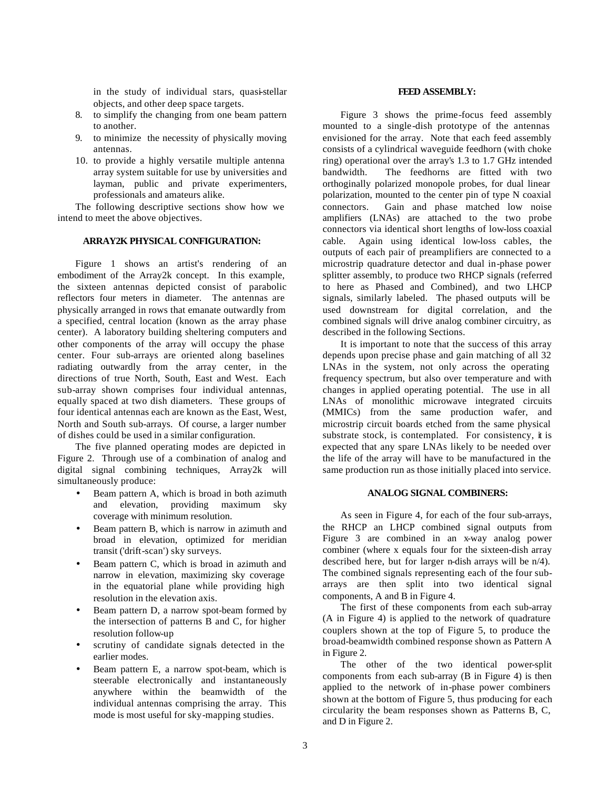in the study of individual stars, quasi-stellar objects, and other deep space targets.

- 8. to simplify the changing from one beam pattern to another.
- 9. to minimize the necessity of physically moving antennas.
- 10. to provide a highly versatile multiple antenna array system suitable for use by universities and layman, public and private experimenters, professionals and amateurs alike.

The following descriptive sections show how we intend to meet the above objectives.

## **ARRAY2K PHYSICAL CONFIGURATION:**

Figure 1 shows an artist's rendering of an embodiment of the Array2k concept. In this example, the sixteen antennas depicted consist of parabolic reflectors four meters in diameter. The antennas are physically arranged in rows that emanate outwardly from a specified, central location (known as the array phase center). A laboratory building sheltering computers and other components of the array will occupy the phase center. Four sub-arrays are oriented along baselines radiating outwardly from the array center, in the directions of true North, South, East and West. Each sub-array shown comprises four individual antennas, equally spaced at two dish diameters. These groups of four identical antennas each are known as the East, West, North and South sub-arrays. Of course, a larger number of dishes could be used in a similar configuration.

The five planned operating modes are depicted in Figure 2. Through use of a combination of analog and digital signal combining techniques, Array2k will simultaneously produce:

- Beam pattern A, which is broad in both azimuth and elevation, providing maximum sky coverage with minimum resolution.
- Beam pattern B, which is narrow in azimuth and broad in elevation, optimized for meridian transit ('drift-scan') sky surveys.
- Beam pattern C, which is broad in azimuth and narrow in elevation, maximizing sky coverage in the equatorial plane while providing high resolution in the elevation axis.
- Beam pattern D, a narrow spot-beam formed by the intersection of patterns B and C, for higher resolution follow-up
- scrutiny of candidate signals detected in the earlier modes.
- Beam pattern E, a narrow spot-beam, which is steerable electronically and instantaneously anywhere within the beamwidth of the individual antennas comprising the array. This mode is most useful for sky-mapping studies.

### **FEED ASSEMBLY:**

Figure 3 shows the prime-focus feed assembly mounted to a single-dish prototype of the antennas envisioned for the array. Note that each feed assembly consists of a cylindrical waveguide feedhorn (with choke ring) operational over the array's 1.3 to 1.7 GHz intended bandwidth. The feedhorns are fitted with two orthoginally polarized monopole probes, for dual linear polarization, mounted to the center pin of type N coaxial connectors. Gain and phase matched low noise amplifiers (LNAs) are attached to the two probe connectors via identical short lengths of low-loss coaxial cable. Again using identical low-loss cables, the outputs of each pair of preamplifiers are connected to a microstrip quadrature detector and dual in-phase power splitter assembly, to produce two RHCP signals (referred to here as Phased and Combined), and two LHCP signals, similarly labeled. The phased outputs will be used downstream for digital correlation, and the combined signals will drive analog combiner circuitry, as described in the following Sections.

It is important to note that the success of this array depends upon precise phase and gain matching of all 32 LNAs in the system, not only across the operating frequency spectrum, but also over temperature and with changes in applied operating potential. The use in all LNAs of monolithic microwave integrated circuits (MMICs) from the same production wafer, and microstrip circuit boards etched from the same physical substrate stock, is contemplated. For consistency, it is expected that any spare LNAs likely to be needed over the life of the array will have to be manufactured in the same production run as those initially placed into service.

### **ANALOG SIGNAL COMBINERS:**

As seen in Figure 4, for each of the four sub-arrays, the RHCP an LHCP combined signal outputs from Figure 3 are combined in an x-way analog power combiner (where x equals four for the sixteen-dish array described here, but for larger n-dish arrays will be n/4). The combined signals representing each of the four subarrays are then split into two identical signal components, A and B in Figure 4.

The first of these components from each sub-array (A in Figure 4) is applied to the network of quadrature couplers shown at the top of Figure 5, to produce the broad-beamwidth combined response shown as Pattern A in Figure 2.

The other of the two identical power-split components from each sub-array (B in Figure 4) is then applied to the network of in-phase power combiners shown at the bottom of Figure 5, thus producing for each circularity the beam responses shown as Patterns B, C, and D in Figure 2.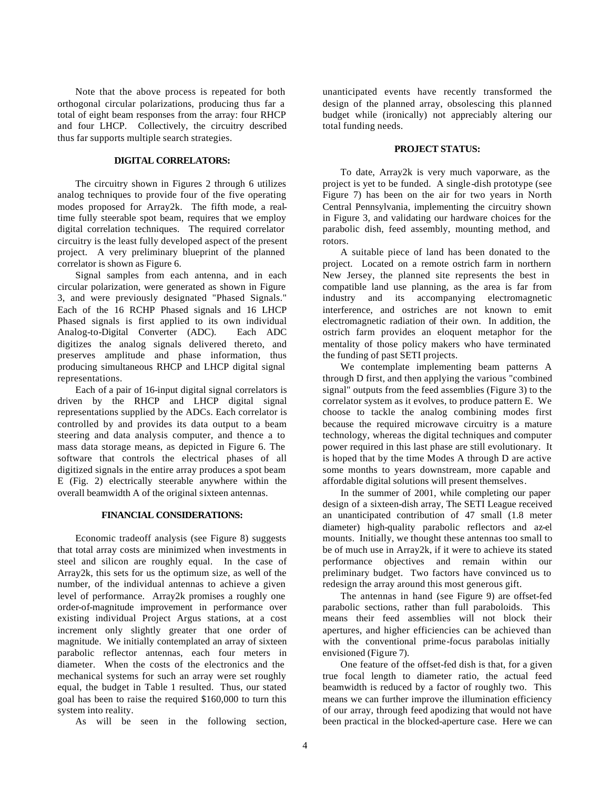Note that the above process is repeated for both orthogonal circular polarizations, producing thus far a total of eight beam responses from the array: four RHCP and four LHCP. Collectively, the circuitry described thus far supports multiple search strategies.

#### **DIGITAL CORRELATORS:**

The circuitry shown in Figures 2 through 6 utilizes analog techniques to provide four of the five operating modes proposed for Array2k. The fifth mode, a realtime fully steerable spot beam, requires that we employ digital correlation techniques. The required correlator circuitry is the least fully developed aspect of the present project. A very preliminary blueprint of the planned correlator is shown as Figure 6.

Signal samples from each antenna, and in each circular polarization, were generated as shown in Figure 3, and were previously designated "Phased Signals." Each of the 16 RCHP Phased signals and 16 LHCP Phased signals is first applied to its own individual Analog-to-Digital Converter (ADC). Each ADC digitizes the analog signals delivered thereto, and preserves amplitude and phase information, thus producing simultaneous RHCP and LHCP digital signal representations.

Each of a pair of 16-input digital signal correlators is driven by the RHCP and LHCP digital signal representations supplied by the ADCs. Each correlator is controlled by and provides its data output to a beam steering and data analysis computer, and thence a to mass data storage means, as depicted in Figure 6. The software that controls the electrical phases of all digitized signals in the entire array produces a spot beam E (Fig. 2) electrically steerable anywhere within the overall beamwidth A of the original sixteen antennas.

#### **FINANCIAL CONSIDERATIONS:**

Economic tradeoff analysis (see Figure 8) suggests that total array costs are minimized when investments in steel and silicon are roughly equal. In the case of Array2k, this sets for us the optimum size, as well of the number, of the individual antennas to achieve a given level of performance. Array2k promises a roughly one order-of-magnitude improvement in performance over existing individual Project Argus stations, at a cost increment only slightly greater that one order of magnitude. We initially contemplated an array of sixteen parabolic reflector antennas, each four meters in diameter. When the costs of the electronics and the mechanical systems for such an array were set roughly equal, the budget in Table 1 resulted. Thus, our stated goal has been to raise the required \$160,000 to turn this system into reality.

As will be seen in the following section,

unanticipated events have recently transformed the design of the planned array, obsolescing this planned budget while (ironically) not appreciably altering our total funding needs.

## **PROJECT STATUS:**

To date, Array2k is very much vaporware, as the project is yet to be funded. A single-dish prototype (see Figure 7) has been on the air for two years in North Central Pennsylvania, implementing the circuitry shown in Figure 3, and validating our hardware choices for the parabolic dish, feed assembly, mounting method, and rotors.

A suitable piece of land has been donated to the project. Located on a remote ostrich farm in northern New Jersey, the planned site represents the best in compatible land use planning, as the area is far from industry and its accompanying electromagnetic interference, and ostriches are not known to emit electromagnetic radiation of their own. In addition, the ostrich farm provides an eloquent metaphor for the mentality of those policy makers who have terminated the funding of past SETI projects.

We contemplate implementing beam patterns A through D first, and then applying the various "combined signal" outputs from the feed assemblies (Figure 3) to the correlator system as it evolves, to produce pattern E. We choose to tackle the analog combining modes first because the required microwave circuitry is a mature technology, whereas the digital techniques and computer power required in this last phase are still evolutionary. It is hoped that by the time Modes A through D are active some months to years downstream, more capable and affordable digital solutions will present themselves.

In the summer of 2001, while completing our paper design of a sixteen-dish array, The SETI League received an unanticipated contribution of 47 small (1.8 meter diameter) high-quality parabolic reflectors and az-el mounts. Initially, we thought these antennas too small to be of much use in Array2k, if it were to achieve its stated performance objectives and remain within our preliminary budget. Two factors have convinced us to redesign the array around this most generous gift.

The antennas in hand (see Figure 9) are offset-fed parabolic sections, rather than full paraboloids. This means their feed assemblies will not block their apertures, and higher efficiencies can be achieved than with the conventional prime-focus parabolas initially envisioned (Figure 7).

One feature of the offset-fed dish is that, for a given true focal length to diameter ratio, the actual feed beamwidth is reduced by a factor of roughly two. This means we can further improve the illumination efficiency of our array, through feed apodizing that would not have been practical in the blocked-aperture case. Here we can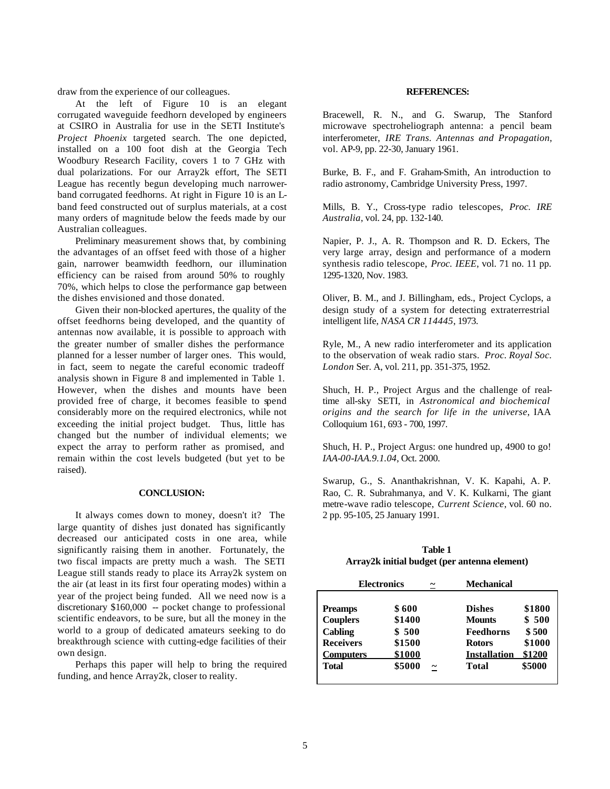draw from the experience of our colleagues.

At the left of Figure 10 is an elegant corrugated waveguide feedhorn developed by engineers at CSIRO in Australia for use in the SETI Institute's *Project Phoenix* targeted search. The one depicted, installed on a 100 foot dish at the Georgia Tech Woodbury Research Facility, covers 1 to 7 GHz with dual polarizations. For our Array2k effort, The SETI League has recently begun developing much narrowerband corrugated feedhorns. At right in Figure 10 is an Lband feed constructed out of surplus materials, at a cost many orders of magnitude below the feeds made by our Australian colleagues.

Preliminary measurement shows that, by combining the advantages of an offset feed with those of a higher gain, narrower beamwidth feedhorn, our illumination efficiency can be raised from around 50% to roughly 70%, which helps to close the performance gap between the dishes envisioned and those donated.

Given their non-blocked apertures, the quality of the offset feedhorns being developed, and the quantity of antennas now available, it is possible to approach with the greater number of smaller dishes the performance planned for a lesser number of larger ones. This would, in fact, seem to negate the careful economic tradeoff analysis shown in Figure 8 and implemented in Table 1. However, when the dishes and mounts have been provided free of charge, it becomes feasible to spend considerably more on the required electronics, while not exceeding the initial project budget. Thus, little has changed but the number of individual elements; we expect the array to perform rather as promised, and remain within the cost levels budgeted (but yet to be raised).

### **CONCLUSION:**

It always comes down to money, doesn't it? The large quantity of dishes just donated has significantly decreased our anticipated costs in one area, while significantly raising them in another. Fortunately, the two fiscal impacts are pretty much a wash. The SETI League still stands ready to place its Array2k system on the air (at least in its first four operating modes) within a year of the project being funded. All we need now is a discretionary \$160,000 -- pocket change to professional scientific endeavors, to be sure, but all the money in the world to a group of dedicated amateurs seeking to do breakthrough science with cutting-edge facilities of their own design.

Perhaps this paper will help to bring the required funding, and hence Array2k, closer to reality.

#### **REFERENCES:**

Bracewell, R. N., and G. Swarup, The Stanford microwave spectroheliograph antenna: a pencil beam interferometer, *IRE Trans. Antennas and Propagation*, vol. AP-9, pp. 22-30, January 1961.

Burke, B. F., and F. Graham-Smith, An introduction to radio astronomy, Cambridge University Press, 1997.

Mills, B. Y., Cross-type radio telescopes, *Proc. IRE Australia*, vol. 24, pp. 132-140.

Napier, P. J., A. R. Thompson and R. D. Eckers, The very large array, design and performance of a modern synthesis radio telescope, *Proc. IEEE*, vol. 71 no. 11 pp. 1295-1320, Nov. 1983.

Oliver, B. M., and J. Billingham, eds., Project Cyclops, a design study of a system for detecting extraterrestrial intelligent life, *NASA CR 114445*, 1973.

Ryle, M., A new radio interferometer and its application to the observation of weak radio stars. *Proc. Royal Soc. London* Ser. A, vol. 211, pp. 351-375, 1952.

Shuch, H. P., Project Argus and the challenge of realtime all-sky SETI, in *Astronomical and biochemical origins and the search for life in the universe*, IAA Colloquium 161, 693 - 700, 1997.

Shuch, H. P., Project Argus: one hundred up, 4900 to go! *IAA-00-IAA.9.1.04*, Oct. 2000.

Swarup, G., S. Ananthakrishnan, V. K. Kapahi, A. P. Rao, C. R. Subrahmanya, and V. K. Kulkarni, The giant metre-wave radio telescope, *Current Science*, vol. 60 no. 2 pp. 95-105, 25 January 1991.

## **Table 1 Array2k initial budget (per antenna element)**

| <b>Electronics</b><br>∼           |                 |            | <b>Mechanical</b>          |                |
|-----------------------------------|-----------------|------------|----------------------------|----------------|
| <b>Preamps</b>                    | \$600           |            | <b>Dishes</b>              | \$1800         |
| <b>Couplers</b><br><b>Cabling</b> | \$1400<br>\$500 |            | <b>Mounts</b><br>Feedhorns | \$500<br>\$500 |
| <b>Receivers</b>                  | \$1500          |            | <b>Rotors</b>              | \$1000         |
| <b>Computers</b>                  | \$1000          |            | <b>Installation</b>        | \$1200         |
| <b>Total</b>                      | \$5000          | $\tilde{}$ | <b>Total</b>               | \$5000         |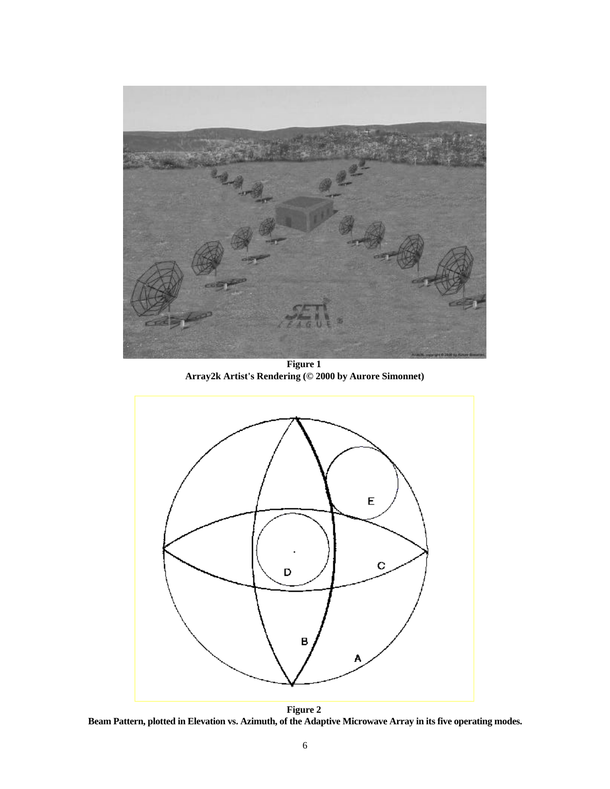

**Figure 1 Array2k Artist's Rendering (© 2000 by Aurore Simonnet)**



**Figure 2 Beam Pattern, plotted in Elevation vs. Azimuth, of the Adaptive Microwave Array in its five operating modes.**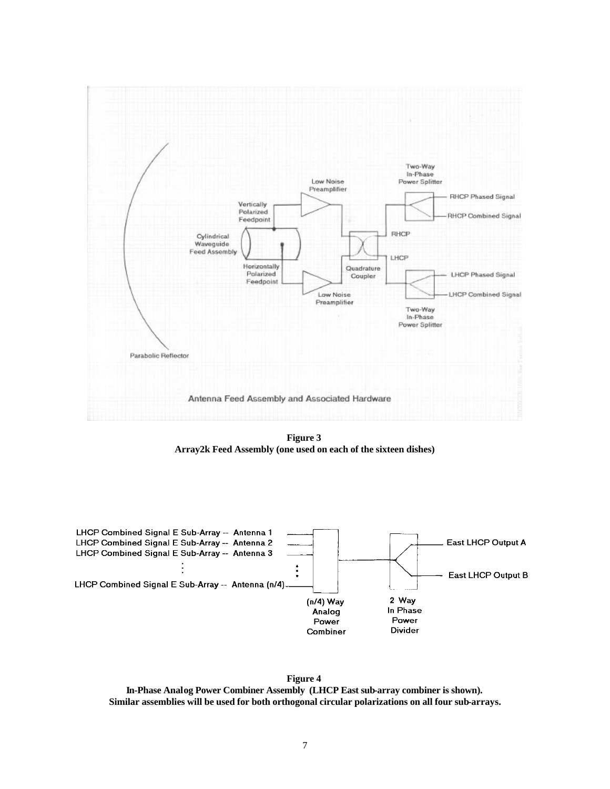

**Figure 3 Array2k Feed Assembly (one used on each of the sixteen dishes)**



**Figure 4 In-Phase Analog Power Combiner Assembly (LHCP East sub-array combiner is shown). Similar assemblies will be used for both orthogonal circular polarizations on all four sub-arrays.**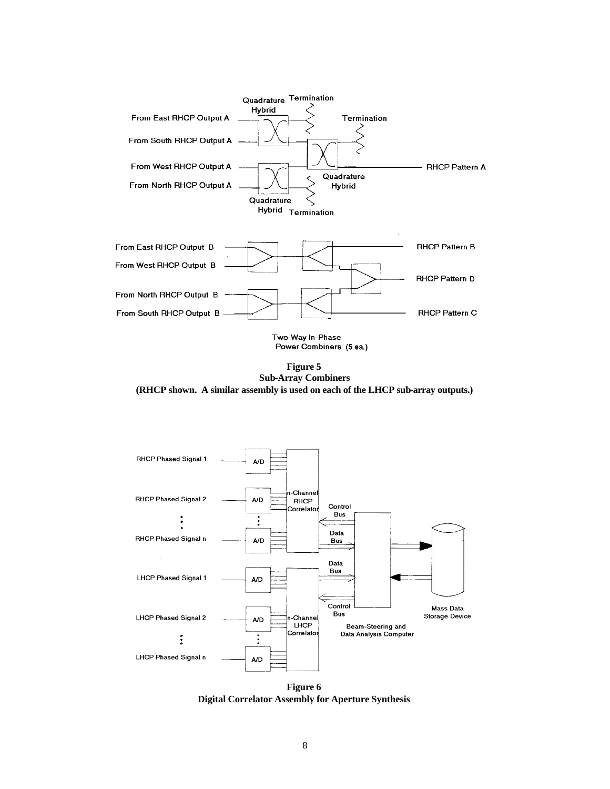

**Figure 5 Sub-Array Combiners (RHCP shown. A similar assembly is used on each of the LHCP sub-array outputs.)**



**Figure 6 Digital Correlator Assembly for Aperture Synthesis**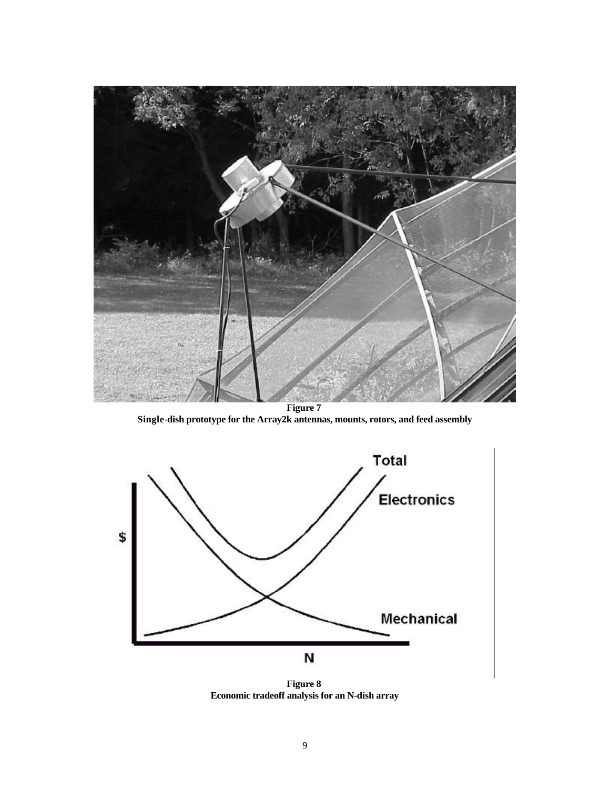

**Single-dish prototype for the Array2k antennas, mounts, rotors, and feed assembly**



**Figure 8 Economic tradeoff analysis for an N-dish array**